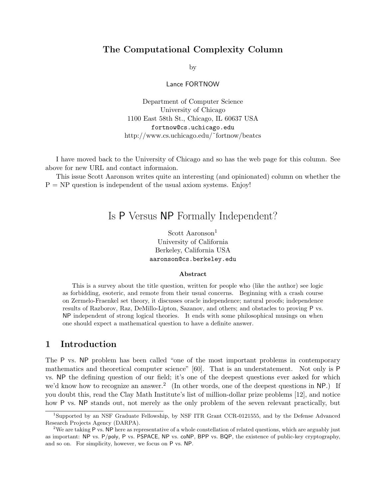# The Computational Complexity Column

by

Lance FORTNOW

Department of Computer Science University of Chicago 1100 East 58th St., Chicago, IL 60637 USA fortnow@cs.uchicago.edu http://www.cs.uchicago.edu/˜fortnow/beatcs

I have moved back to the University of Chicago and so has the web page for this column. See above for new URL and contact informaion.

This issue Scott Aaronson writes quite an interesting (and opinionated) column on whether the  $P = NP$  question is independent of the usual axiom systems. Enjoy!

# Is P Versus NP Formally Independent?

Scott Aaronson<sup>1</sup> University of California Berkeley, California USA aaronson@cs.berkeley.edu

#### Abstract

This is a survey about the title question, written for people who (like the author) see logic as forbidding, esoteric, and remote from their usual concerns. Beginning with a crash course on Zermelo-Fraenkel set theory, it discusses oracle independence; natural proofs; independence results of Razborov, Raz, DeMillo-Lipton, Sazanov, and others; and obstacles to proving P vs. NP independent of strong logical theories. It ends with some philosophical musings on when one should expect a mathematical question to have a definite answer.

# 1 Introduction

The P vs. NP problem has been called "one of the most important problems in contemporary mathematics and theoretical computer science" [60]. That is an understatement. Not only is P vs. NP the defining question of our field; it's one of the deepest questions ever asked for which we'd know how to recognize an answer.<sup>2</sup> (In other words, one of the deepest questions in NP.) If you doubt this, read the Clay Math Institute's list of million-dollar prize problems [12], and notice how P vs. NP stands out, not merely as the only problem of the seven relevant practically, but

<sup>1</sup>Supported by an NSF Graduate Fellowship, by NSF ITR Grant CCR-0121555, and by the Defense Advanced Research Projects Agency (DARPA).

<sup>&</sup>lt;sup>2</sup>We are taking P vs. NP here as representative of a whole constellation of related questions, which are arguably just as important: NP vs. P/poly, P vs. PSPACE, NP vs. coNP, BPP vs. BQP, the existence of public-key cryptography, and so on. For simplicity, however, we focus on P vs. NP.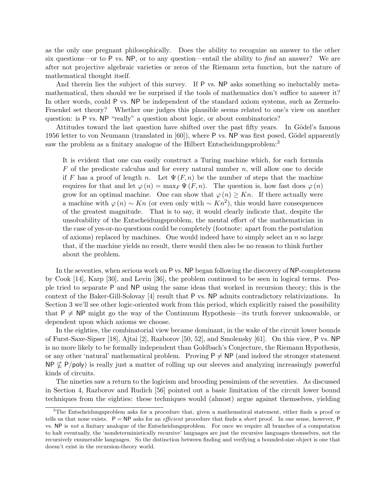as the only one pregnant philosophically. Does the ability to recognize an answer to the other six questions—or to P vs. NP, or to any question—entail the ability to  $find$  an answer? We are after not projective algebraic varieties or zeros of the Riemann zeta function, but the nature of mathematical thought itself.

And therein lies the subject of this survey. If P vs. NP asks something so ineluctably metamathematical, then should we be surprised if the tools of mathematics don't suffice to answer it? In other words, could P vs. NP be independent of the standard axiom systems, such as Zermelo-Fraenkel set theory? Whether one judges this plausible seems related to one's view on another question: is P vs. NP "really" a question about logic, or about combinatorics?

Attitudes toward the last question have shifted over the past fifty years. In Gödel's famous 1956 letter to von Neumann (translated in  $[60]$ ), where P vs. NP was first posed, Gödel apparently saw the problem as a finitary analogue of the Hilbert Entscheidungsproblem:<sup>3</sup>

It is evident that one can easily construct a Turing machine which, for each formula  $F$  of the predicate calculus and for every natural number  $n$ , will allow one to decide if F has a proof of length n. Let  $\Psi(F, n)$  be the number of steps that the machine requires for that and let  $\varphi(n) = \max_F \Psi(F, n)$ . The question is, how fast does  $\varphi(n)$ grow for an optimal machine. One can show that  $\varphi(n) \geq Kn$ . If there actually were a machine with  $\varphi(n) \sim Kn$  (or even only with  $\sim Kn^2$ ), this would have consequences of the greatest magnitude. That is to say, it would clearly indicate that, despite the unsolvability of the Entscheidungsproblem, the mental effort of the mathematician in the case of yes-or-no questions could be completely (footnote: apart from the postulation of axioms) replaced by machines. One would indeed have to simply select an  $n$  so large that, if the machine yields no result, there would then also be no reason to think further about the problem.

In the seventies, when serious work on P vs. NP began following the discovery of NP-completeness by Cook [14], Karp [30], and Levin [36], the problem continued to be seen in logical terms. People tried to separate P and NP using the same ideas that worked in recursion theory; this is the context of the Baker-Gill-Solovay [4] result that P vs. NP admits contradictory relativizations. In Section 3 we'll see other logic-oriented work from this period, which explicitly raised the possibility that  $P \neq NP$  might go the way of the Continuum Hypothesis—its truth forever unknowable, or dependent upon which axioms we choose.

In the eighties, the combinatorial view became dominant, in the wake of the circuit lower bounds of Furst-Saxe-Sipser [18], Ajtai [2], Razborov [50, 52], and Smolensky [61]. On this view, P vs. NP is no more likely to be formally independent than Goldbach's Conjecture, the Riemann Hypothesis, or any other 'natural' mathematical problem. Proving  $P \neq NP$  (and indeed the stronger statement  $\mathsf{NP} \not\subseteq \mathsf{P/poly}$  is really just a matter of rolling up our sleeves and analyzing increasingly powerful kinds of circuits.

The nineties saw a return to the logicism and brooding pessimism of the seventies. As discussed in Section 4, Razborov and Rudich [56] pointed out a basic limitation of the circuit lower bound techniques from the eighties: these techniques would (almost) argue against themselves, yielding

<sup>&</sup>lt;sup>3</sup>The Entscheidungsproblem asks for a procedure that, given a mathematical statement, either finds a proof or tells us that none exists.  $P = NP$  asks for an *efficient* procedure that finds a *short* proof. In one sense, however, P vs. NP is not a finitary analogue of the Entscheidungsproblem. For once we require all branches of a computation to halt eventually, the 'nondeterministically recursive' languages are just the recursive languages themselves, not the recursively enumerable languages. So the distinction between finding and verifying a bounded-size object is one that doesn't exist in the recursion-theory world.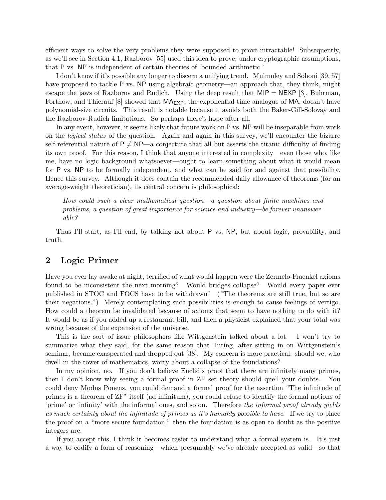efficient ways to solve the very problems they were supposed to prove intractable! Subsequently, as we'll see in Section 4.1, Razborov [55] used this idea to prove, under cryptographic assumptions, that P vs. NP is independent of certain theories of 'bounded arithmetic.'

I don't know if it's possible any longer to discern a unifying trend. Mulmuley and Sohoni [39, 57] have proposed to tackle P vs. NP using algebraic geometry—an approach that, they think, might escape the jaws of Razborov and Rudich. Using the deep result that  $MIP = NEXP$  [3], Buhrman, Fortnow, and Thierauf  $[8]$  showed that  $\mathsf{MA}_{\mathsf{EXP}}$ , the exponential-time analogue of  $\mathsf{MA}$ , doesn't have polynomial-size circuits. This result is notable because it avoids both the Baker-Gill-Solovay and the Razborov-Rudich limitations. So perhaps there's hope after all.

In any event, however, it seems likely that future work on P vs. NP will be inseparable from work on the logical status of the question. Again and again in this survey, we'll encounter the bizarre self-referential nature of  $P \neq NP$ —a conjecture that all but asserts the titanic difficulty of finding its own proof. For this reason, I think that anyone interested in complexity—even those who, like me, have no logic background whatsoever—ought to learn something about what it would mean for P vs. NP to be formally independent, and what can be said for and against that possibility. Hence this survey. Although it does contain the recommended daily allowance of theorems (for an average-weight theoretician), its central concern is philosophical:

How could such a clear mathematical question—a question about finite machines and problems, a question of great importance for science and industry—be forever unanswerable?

Thus I'll start, as I'll end, by talking not about P vs. NP, but about logic, provability, and truth.

### 2 Logic Primer

Have you ever lay awake at night, terrified of what would happen were the Zermelo-Fraenkel axioms found to be inconsistent the next morning? Would bridges collapse? Would every paper ever published in STOC and FOCS have to be withdrawn? ("The theorems are still true, but so are their negations.") Merely contemplating such possibilities is enough to cause feelings of vertigo. How could a theorem be invalidated because of axioms that seem to have nothing to do with it? It would be as if you added up a restaurant bill, and then a physicist explained that your total was wrong because of the expansion of the universe.

This is the sort of issue philosophers like Wittgenstein talked about a lot. I won't try to summarize what they said, for the same reason that Turing, after sitting in on Wittgenstein's seminar, became exasperated and dropped out [38]. My concern is more practical: should we, who dwell in the tower of mathematics, worry about a collapse of the foundations?

In my opinion, no. If you don't believe Euclid's proof that there are infinitely many primes, then I don't know why seeing a formal proof in ZF set theory should quell your doubts. You could deny Modus Ponens, you could demand a formal proof for the assertion "The infinitude of primes is a theorem of ZF" itself (ad infinitum), you could refuse to identify the formal notions of 'prime' or 'infinity' with the informal ones, and so on. Therefore the informal proof already yields as much certainty about the infinitude of primes as it's humanly possible to have. If we try to place the proof on a "more secure foundation," then the foundation is as open to doubt as the positive integers are.

If you accept this, I think it becomes easier to understand what a formal system is. It's just a way to codify a form of reasoning—which presumably we've already accepted as valid—so that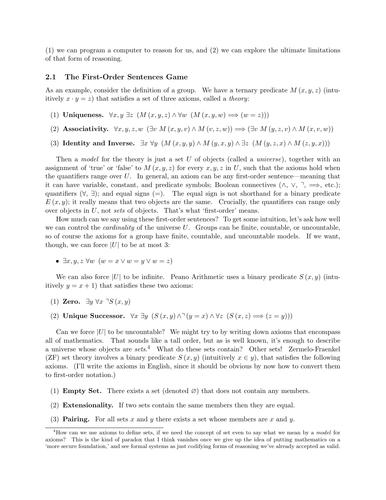(1) we can program a computer to reason for us, and (2) we can explore the ultimate limitations of that form of reasoning.

#### 2.1 The First-Order Sentences Game

As an example, consider the definition of a group. We have a ternary predicate  $M(x, y, z)$  (intuitively  $x \cdot y = z$ ) that satisfies a set of three axioms, called a *theory*:

- (1) Uniqueness.  $\forall x, y \exists z \ (M(x, y, z) \land \forall w \ (M(x, y, w) \Longrightarrow (w = z)))$
- (2) Associativity.  $\forall x, y, z, w \ (\exists v \ M(x, y, v) \land M(v, z, w)) \Longrightarrow (\exists v \ M(y, z, v) \land M(x, v, w))$
- (3) Identity and Inverse.  $\exists x \forall y \ (M(x, y, y) \land M(y, x, y) \land \exists z \ (M(y, z, x) \land M(z, y, x)))$

Then a model for the theory is just a set  $U$  of objects (called a *universe*), together with an assignment of 'true' or 'false' to  $M(x, y, z)$  for every x, y, z in U, such that the axioms hold when the quantifiers range over  $U$ . In general, an axiom can be any first-order sentence—meaning that it can have variable, constant, and predicate symbols; Boolean connectives  $(\wedge, \vee, \neg, \implies, \text{etc.})$ ; quantifiers  $(\forall, \exists)$ ; and equal signs (=). The equal sign is not shorthand for a binary predicate  $E(x, y)$ ; it really means that two objects are the same. Crucially, the quantifiers can range only over objects in  $U$ , not sets of objects. That's what 'first-order' means.

How much can we say using these first-order sentences? To get some intuition, let's ask how well we can control the *cardinality* of the universe  $U$ . Groups can be finite, countable, or uncountable, so of course the axioms for a group have finite, countable, and uncountable models. If we want, though, we can force |U| to be at most 3:

•  $\exists x, y, z \ \forall w \ (w = x \lor w = y \lor w = z)$ 

We can also force |U| to be infinite. Peano Arithmetic uses a binary predicate  $S(x, y)$  (intuitively  $y = x + 1$ ) that satisfies these two axioms:

- (1) Zero.  $\exists y \forall x \exists S (x, y)$
- (2) Unique Successor.  $\forall x \exists y \ (S(x, y) \land \exists (y = x) \land \forall z \ (S(x, z) \Longrightarrow (z = y)))$

Can we force  $|U|$  to be uncountable? We might try to by writing down axioms that encompass all of mathematics. That sounds like a tall order, but as is well known, it's enough to describe a universe whose objects are sets.<sup>4</sup> What do these sets contain? Other sets! Zermelo-Fraenkel (ZF) set theory involves a binary predicate  $S(x, y)$  (intuitively  $x \in y$ ), that satisfies the following axioms. (I'll write the axioms in English, since it should be obvious by now how to convert them to first-order notation.)

- (1) **Empty Set.** There exists a set (denoted  $\varnothing$ ) that does not contain any members.
- (2) Extensionality. If two sets contain the same members then they are equal.
- (3) **Pairing.** For all sets x and y there exists a set whose members are x and y.

<sup>&</sup>lt;sup>4</sup>How can we use axioms to define sets, if we need the concept of set even to say what we mean by a model for axioms? This is the kind of paradox that I think vanishes once we give up the idea of putting mathematics on a 'more secure foundation,' and see formal systems as just codifying forms of reasoning we've already accepted as valid.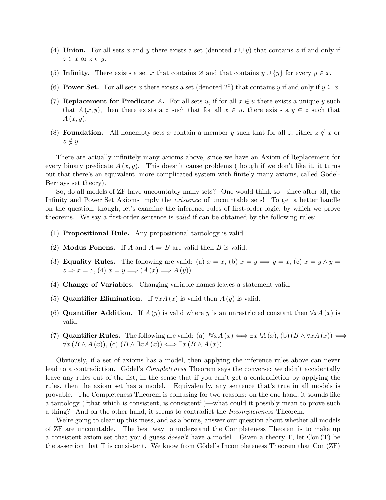- (4) Union. For all sets x and y there exists a set (denoted  $x \cup y$ ) that contains z if and only if  $z \in x$  or  $z \in y$ .
- (5) Infinity. There exists a set x that contains  $\emptyset$  and that contains  $y \cup \{y\}$  for every  $y \in x$ .
- (6) **Power Set.** For all sets x there exists a set (denoted  $2^x$ ) that contains y if and only if  $y \subseteq x$ .
- (7) Replacement for Predicate A. For all sets u, if for all  $x \in u$  there exists a unique y such that  $A(x, y)$ , then there exists a z such that for all  $x \in u$ , there exists a  $y \in z$  such that  $A(x, y)$ .
- (8) **Foundation.** All nonempty sets x contain a member y such that for all z, either  $z \notin x$  or  $z \notin y$ .

There are actually infinitely many axioms above, since we have an Axiom of Replacement for every binary predicate  $A(x, y)$ . This doesn't cause problems (though if we don't like it, it turns out that there's an equivalent, more complicated system with finitely many axioms, called Gödel-Bernays set theory).

So, do all models of ZF have uncountably many sets? One would think so—since after all, the Infinity and Power Set Axioms imply the existence of uncountable sets! To get a better handle on the question, though, let's examine the inference rules of first-order logic, by which we prove theorems. We say a first-order sentence is valid if can be obtained by the following rules:

- (1) Propositional Rule. Any propositional tautology is valid.
- (2) Modus Ponens. If A and  $A \Rightarrow B$  are valid then B is valid.
- (3) **Equality Rules.** The following are valid: (a)  $x = x$ , (b)  $x = y \implies y = x$ , (c)  $x = y \land y = x$  $z \Rightarrow x = z$ , (4)  $x = y \Longrightarrow (A(x) \Longrightarrow A(y)).$
- (4) Change of Variables. Changing variable names leaves a statement valid.
- (5) Quantifier Elimination. If  $\forall x A(x)$  is valid then  $A(y)$  is valid.
- (6) Quantifier Addition. If  $A(y)$  is valid where y is an unrestricted constant then  $\forall x A(x)$  is valid.
- (7) **Quantifier Rules.** The following are valid: (a)  $\forall x A(x) \Longleftrightarrow \exists x \exists A(x), (b) (B \land \forall x A(x)) \Longleftrightarrow$  $\forall x (B \wedge A(x)),$  (c)  $(B \wedge \exists x A(x)) \Longleftrightarrow \exists x (B \wedge A(x)).$

Obviously, if a set of axioms has a model, then applying the inference rules above can never lead to a contradiction. Gödel's *Completeness* Theorem says the converse: we didn't accidentally leave any rules out of the list, in the sense that if you can't get a contradiction by applying the rules, then the axiom set has a model. Equivalently, any sentence that's true in all models is provable. The Completeness Theorem is confusing for two reasons: on the one hand, it sounds like a tautology ("that which is consistent, is consistent")—what could it possibly mean to prove such a thing? And on the other hand, it seems to contradict the Incompleteness Theorem.

We're going to clear up this mess, and as a bonus, answer our question about whether all models of ZF are uncountable. The best way to understand the Completeness Theorem is to make up a consistent axiom set that you'd guess *doesn't* have a model. Given a theory T, let Con  $(T)$  be the assertion that  $T$  is consistent. We know from Gödel's Incompleteness Theorem that  $Con(ZF)$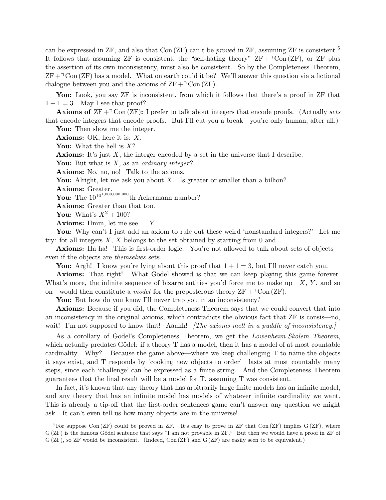can be expressed in ZF, and also that Con  $(ZF)$  can't be *proved* in ZF, assuming ZF is consistent.<sup>5</sup> It follows that assuming ZF is consistent, the "self-hating theory"  $ZF +\text{Con} (ZF)$ , or ZF plus the assertion of its own inconsistency, must also be consistent. So by the Completeness Theorem,  $ZF + \text{Con}(ZF)$  has a model. What on earth could it be? We'll answer this question via a fictional dialogue between you and the axioms of  $ZF + \text{Con} (ZF)$ .

You: Look, you say ZF is inconsistent, from which it follows that there's a proof in ZF that  $1 + 1 = 3$ . May I see that proof?

**Axioms of**  $ZF + \text{d}$  Con (ZF): I prefer to talk about integers that encode proofs. (Actually sets that encode integers that encode proofs. But I'll cut you a break—you're only human, after all.)

You: Then show me the integer.

**Axioms:** OK, here it is:  $X$ .

You: What the hell is  $X$ ?

**Axioms:** It's just  $X$ , the integer encoded by a set in the universe that I describe.

You: But what is  $X$ , as an *ordinary integer*?

Axioms: No, no, no! Talk to the axioms.

You: Alright, let me ask you about  $X$ . Is greater or smaller than a billion?

Axioms: Greater.

You: The  $10^{10^{1,000,000}$  th Ackermann number?

Axioms: Greater than that too.

You: What's  $X^2 + 100$ ?

**Axioms:** Hmm, let me see...  $Y$ .

You: Why can't I just add an axiom to rule out these weird 'nonstandard integers?' Let me try: for all integers  $X$ ,  $X$  belongs to the set obtained by starting from 0 and...

Axioms: Ha ha! This is first-order logic. You're not allowed to talk about sets of objects even if the objects are themselves sets.

You: Argh! I know you're lying about this proof that  $1 + 1 = 3$ , but I'll never catch you.

Axioms: That right! What Gödel showed is that we can keep playing this game forever. What's more, the infinite sequence of bizarre entities you'd force me to make up—X, Y, and so on—would then constitute a *model* for the preposterous theory  $ZF + \text{Con} (ZF)$ .

You: But how do you know I'll never trap you in an inconsistency?

Axioms: Because if you did, the Completeness Theorem says that we could convert that into an inconsistency in the original axioms, which contradicts the obvious fact that ZF is consis—no, wait! I'm not supposed to know that! Aaahh! *The axioms melt in a puddle of inconsistency.* 

As a corollary of Gödel's Completeness Theorem, we get the Löwenheim-Skolem Theorem, which actually predates Gödel: if a theory  $T$  has a model, then it has a model of at most countable cardinality. Why? Because the game above—where we keep challenging T to name the objects it says exist, and T responds by 'cooking new objects to order'—lasts at most countably many steps, since each 'challenge' can be expressed as a finite string. And the Completeness Theorem guarantees that the final result will be a model for T, assuming T was consistent.

In fact, it's known that any theory that has arbitrarily large finite models has an infinite model, and any theory that has an infinite model has models of whatever infinite cardinality we want. This is already a tip-off that the first-order sentences game can't answer any question we might ask. It can't even tell us how many objects are in the universe!

<sup>&</sup>lt;sup>5</sup>For suppose Con (ZF) could be proved in ZF. It's easy to prove in ZF that Con (ZF) implies  $G(ZF)$ , where G (ZF) is the famous Gödel sentence that says "I am not provable in ZF." But then we would have a proof in ZF of G (ZF), so ZF would be inconsistent. (Indeed, Con (ZF) and G (ZF) are easily seen to be equivalent.)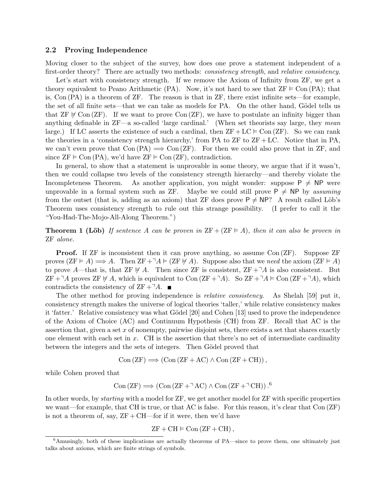#### 2.2 Proving Independence

Moving closer to the subject of the survey, how does one prove a statement independent of a first-order theory? There are actually two methods: *consistency strength*, and *relative consistency*.

Let's start with consistency strength. If we remove the Axiom of Infinity from ZF, we get a theory equivalent to Peano Arithmetic (PA). Now, it's not hard to see that  $ZF \vDash Con(PA)$ ; that is, Con (PA) is a theorem of ZF. The reason is that in ZF, there exist infinite sets—for example, the set of all finite sets—that we can take as models for PA. On the other hand, Gödel tells us that  $ZF \not\in \text{Con}(ZF)$ . If we want to prove  $\text{Con}(ZF)$ , we have to postulate an infinity bigger than anything definable in  $ZF$ —a so-called 'large cardinal.' (When set theorists say large, they mean large.) If LC asserts the existence of such a cardinal, then  $ZF+LC \vDash \text{Con}(ZF)$ . So we can rank the theories in a 'consistency strength hierarchy,' from PA to  $ZF$  to  $ZF + LC$ . Notice that in PA, we can't even prove that  $Con (PA) \implies Con (ZF)$ . For then we could also prove that in ZF, and since  $ZF \models \text{Con } (PA)$ , we'd have  $ZF \models \text{Con } (ZF)$ , contradiction.

In general, to show that a statement is unprovable in some theory, we argue that if it wasn't, then we could collapse two levels of the consistency strength hierarchy—and thereby violate the Incompleteness Theorem. As another application, you might wonder: suppose  $P \neq NP$  were unprovable in a formal system such as ZF. Maybe we could still prove  $P \neq NP$  by assuming from the outset (that is, adding as an axiom) that ZF does prove  $P \neq NP$ ? A result called Löb's Theorem uses consistency strength to rule out this strange possibility. (I prefer to call it the "You-Had-The-Mojo-All-Along Theorem.")

**Theorem 1 (Löb)** If sentence A can be proven in  $ZF + (ZF \nightharpoonup A)$ , then it can also be proven in ZF alone.

**Proof.** If ZF is inconsistent then it can prove anything, so assume Con (ZF). Suppose ZF proves  $(ZF \vDash A) \Longrightarrow A$ . Then  $ZF +\neg A \vDash (ZF \nvDash A)$ . Suppose also that we need the axiom  $(ZF \vDash A)$ to prove A—that is, that ZF  $\notin A$ . Then since ZF is consistent, ZF + $\neg A$  is also consistent. But ZF + $\exists A$  proves ZF  $\not\vdash A$ , which is equivalent to Con  $(ZF + \exists A)$ . So ZF + $\exists A \models$ Con  $(ZF + \exists A)$ , which contradicts the consistency of  $ZF + \neg A$ .

The other method for proving independence is *relative consistency*. As Shelah [59] put it, consistency strength makes the universe of logical theories 'taller,' while relative consistency makes it 'fatter.' Relative consistency was what Gödel [20] and Cohen [13] used to prove the independence of the Axiom of Choice (AC) and Continuum Hypothesis (CH) from ZF. Recall that AC is the assertion that, given a set  $x$  of nonempty, pairwise disjoint sets, there exists a set that shares exactly one element with each set in  $x$ . CH is the assertion that there's no set of intermediate cardinality between the integers and the sets of integers. Then Gödel proved that

$$
Con(ZF) \Longrightarrow (Con(ZF + AC) \wedge Con(ZF + CH)),
$$

while Cohen proved that

Con 
$$
(ZF)
$$
  $\Longrightarrow$  (Con  $(ZF + \neg AC) \wedge$  Con  $(ZF + \neg CH))$ .<sup>6</sup>

In other words, by *starting* with a model for  $ZF$ , we get another model for  $ZF$  with specific properties we want—for example, that CH is true, or that AC is false. For this reason, it's clear that Con (ZF) is not a theorem of, say,  $ZF + CH$ —for if it were, then we'd have

$$
ZF + CH \vDash Con(ZF + CH),
$$

<sup>6</sup>Amusingly, both of these implications are actually theorems of PA—since to prove them, one ultimately just talks about axioms, which are finite strings of symbols.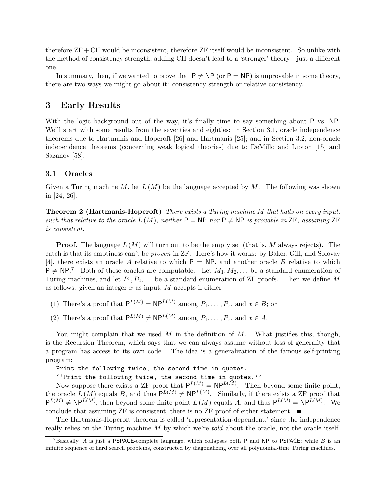therefore  $ZF + CH$  would be inconsistent, therefore  $ZF$  itself would be inconsistent. So unlike with the method of consistency strength, adding CH doesn't lead to a 'stronger' theory—just a different one.

In summary, then, if we wanted to prove that  $P \neq NP$  (or  $P = NP$ ) is unprovable in some theory, there are two ways we might go about it: consistency strength or relative consistency.

# 3 Early Results

With the logic background out of the way, it's finally time to say something about P vs. NP. We'll start with some results from the seventies and eighties: in Section 3.1, oracle independence theorems due to Hartmanis and Hopcroft [26] and Hartmanis [25]; and in Section 3.2, non-oracle independence theorems (concerning weak logical theories) due to DeMillo and Lipton [15] and Sazanov [58].

### 3.1 Oracles

Given a Turing machine M, let  $L(M)$  be the language accepted by M. The following was shown in [24, 26].

**Theorem 2 (Hartmanis-Hopcroft)** There exists a Turing machine M that halts on every input, such that relative to the oracle  $L(M)$ , neither  $P = NP$  nor  $P \neq NP$  is provable in ZF, assuming ZF is consistent.

**Proof.** The language  $L(M)$  will turn out to be the empty set (that is, M always rejects). The catch is that its emptiness can't be proven in ZF. Here's how it works: by Baker, Gill, and Solovay [4], there exists an oracle A relative to which  $P = NP$ , and another oracle B relative to which  $P \neq NP$ .<sup>7</sup> Both of these oracles are computable. Let  $M_1, M_2, \ldots$  be a standard enumeration of Turing machines, and let  $P_1, P_2, \ldots$  be a standard enumeration of ZF proofs. Then we define M as follows: given an integer  $x$  as input,  $M$  accepts if either

- (1) There's a proof that  $P^{L(M)} = NP^{L(M)}$  among  $P_1, \ldots, P_x$ , and  $x \in B$ ; or
- (2) There's a proof that  $P^{L(M)} \neq NP^{L(M)}$  among  $P_1, \ldots, P_x$ , and  $x \in A$ .

You might complain that we used  $M$  in the definition of  $M$ . What justifies this, though, is the Recursion Theorem, which says that we can always assume without loss of generality that a program has access to its own code. The idea is a generalization of the famous self-printing program:

Print the following twice, the second time in quotes.

''Print the following twice, the second time in quotes.''

Now suppose there exists a ZF proof that  $P^{L(M)} = NP^{L(M)}$ . Then beyond some finite point, the oracle  $L(M)$  equals B, and thus  $P^{L(M)} \neq NP^{L(M)}$ . Similarly, if there exists a ZF proof that  $P^{L(M)} \neq NP^{L(M)}$ , then beyond some finite point  $L(M)$  equals A, and thus  $P^{L(M)} = NP^{L(M)}$ . We conclude that assuming ZF is consistent, there is no ZF proof of either statement.  $\blacksquare$ 

The Hartmanis-Hopcroft theorem is called 'representation-dependent,' since the independence really relies on the Turing machine M by which we're *told* about the oracle, not the oracle itself.

<sup>&</sup>lt;sup>7</sup>Basically, A is just a PSPACE-complete language, which collapses both P and NP to PSPACE; while B is an infinite sequence of hard search problems, constructed by diagonalizing over all polynomial-time Turing machines.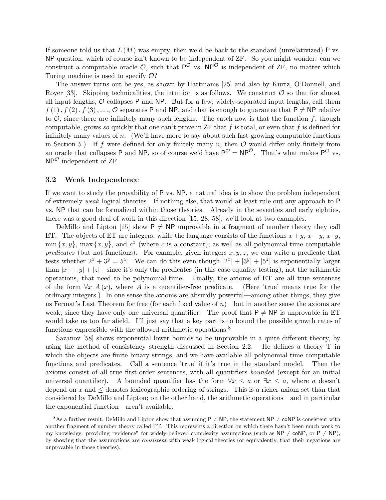If someone told us that  $L(M)$  was empty, then we'd be back to the standard (unrelativized) P vs. NP question, which of course isn't known to be independent of ZF. So you might wonder: can we construct a computable oracle  $\mathcal{O}$ , such that  $P^{\mathcal{O}}$  vs. NP<sup> $\mathcal{O}$ </sup> is independent of ZF, no matter which Turing machine is used to specify  $\mathcal{O}$ ?

The answer turns out be yes, as shown by Hartmanis [25] and also by Kurtz, O'Donnell, and Royer [33]. Skipping technicalities, the intuition is as follows. We construct  $\mathcal O$  so that for almost all input lengths,  $\mathcal O$  collapses P and NP. But for a few, widely-separated input lengths, call them  $f(1), f(2), f(3), \ldots, \mathcal{O}$  separates P and NP, and that is enough to guarantee that  $P \neq NP$  relative to  $\mathcal{O}$ , since there are infinitely many such lengths. The catch now is that the function f, though computable, grows so quickly that one can't prove in ZF that f is total, or even that f is defined for infinitely many values of  $n$ . (We'll have more to say about such fast-growing computable functions in Section 5.) If f were defined for only finitely many n, then  $\mathcal O$  would differ only finitely from an oracle that collapses P and NP, so of course we'd have  $P^{\mathcal{O}} = NP^{\mathcal{O}}$ . That's what makes  $P^{\mathcal{O}}$  vs.  $NP^{\mathcal{O}}$  independent of ZF.

#### 3.2 Weak Independence

If we want to study the provability of P vs. NP, a natural idea is to show the problem independent of extremely weak logical theories. If nothing else, that would at least rule out any approach to P vs. NP that can be formalized within those theories. Already in the seventies and early eighties, there was a good deal of work in this direction [15, 28, 58]; we'll look at two examples.

DeMillo and Lipton [15] show  $P \neq NP$  unprovable in a fragment of number theory they call ET. The objects of ET are integers, while the language consists of the functions  $x + y$ ,  $x - y$ ,  $x \cdot y$ ,  $\min\{x, y\}$ , max $\{x, y\}$ , and  $c^x$  (where c is a constant); as well as all polynomial-time computable predicates (but not functions). For example, given integers  $x, y, z$ , we can write a predicate that tests whether  $2^x + 3^y = 5^z$ . We can do this even though  $|2^x| + |3^y| + |5^z|$  is exponentially larger than  $|x| + |y| + |z|$ —since it's only the predicates (in this case equality testing), not the arithmetic operations, that need to be polynomial-time. Finally, the axioms of ET are all true sentences of the form  $\forall x \ A(x)$ , where A is a quantifier-free predicate. (Here 'true' means true for the ordinary integers.) In one sense the axioms are absurdly powerful—among other things, they give us Fermat's Last Theorem for free (for each fixed value of  $n$ )—but in another sense the axioms are weak, since they have only one universal quantifier. The proof that  $P \neq NP$  is unprovable in ET would take us too far afield. I'll just say that a key part is to bound the possible growth rates of functions expressible with the allowed arithmetic operations.<sup>8</sup>

Sazanov [58] shows exponential lower bounds to be unprovable in a quite different theory, by using the method of consistency strength discussed in Section 2.2. He defines a theory T in which the objects are finite binary strings, and we have available all polynomial-time computable functions and predicates. Call a sentence 'true' if it's true in the standard model. Then the axioms consist of all true first-order sentences, with all quantifiers bounded (except for an initial universal quantifier). A bounded quantifier has the form  $\forall x \leq a$  or  $\exists x \leq a$ , where a doesn't depend on x and  $\leq$  denotes lexicographic ordering of strings. This is a richer axiom set than that considered by DeMillo and Lipton; on the other hand, the arithmetic operations—and in particular the exponential function—aren't available.

<sup>&</sup>lt;sup>8</sup>As a further result, DeMillo and Lipton show that assuming  $P \neq NP$ , the statement NP  $\neq$  coNP is consistent with another fragment of number theory called PT. This represents a direction on which there hasn't been much work to my knowledge: providing "evidence" for widely-believed complexity assumptions (such as  $NP \neq coNP$ , or  $P \neq NP$ ), by showing that the assumptions are consistent with weak logical theories (or equivalently, that their negations are unprovable in those theories).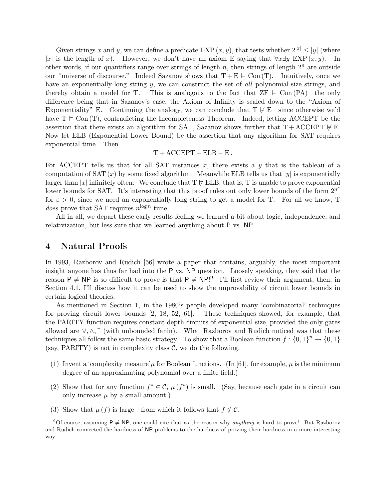Given strings x and y, we can define a predicate EXP  $(x, y)$ , that tests whether  $2^{|x|} \le |y|$  (where |x| is the length of x). However, we don't have an axiom E saying that  $\forall x \exists y \ EXP(x, y)$ . In other words, if our quantifiers range over strings of length n, then strings of length  $2^n$  are outside our "universe of discourse." Indeed Sazanov shows that  $T + E \vDash Con(T)$ . Intuitively, once we have an exponentially-long string  $y$ , we can construct the set of all polynomial-size strings, and thereby obtain a model for T. This is analogous to the fact that  $ZF \vDash Con(PA)$ —the only difference being that in Sazanov's case, the Axiom of Infinity is scaled down to the "Axiom of Exponentiality" E. Continuing the analogy, we can conclude that  $T \not\vdash E$ —since otherwise we'd have  $T \vDash \text{Con}(T)$ , contradicting the Incompleteness Theorem. Indeed, letting ACCEPT be the assertion that there exists an algorithm for SAT, Sazanov shows further that  $T +$ ACCEPT  $\not\in$  E. Now let ELB (Exponential Lower Bound) be the assertion that any algorithm for SAT requires exponential time. Then

 $T + ACCEPT + ELB \models E$ .

For ACCEPT tells us that for all SAT instances x, there exists a  $y$  that is the tableau of a computation of SAT  $(x)$  by some fixed algorithm. Meanwhile ELB tells us that |y| is exponentially larger than |x| infinitely often. We conclude that  $T \not\in ELB$ ; that is, T is unable to prove exponential lower bounds for SAT. It's interesting that this proof rules out only lower bounds of the form  $2^{n^{\varepsilon}}$ for  $\varepsilon > 0$ , since we need an exponentially long string to get a model for T. For all we know, T *does* prove that SAT requires  $n^{\log n}$  time.

All in all, we depart these early results feeling we learned a bit about logic, independence, and relativization, but less sure that we learned anything about P vs. NP.

# 4 Natural Proofs

In 1993, Razborov and Rudich [56] wrote a paper that contains, arguably, the most important insight anyone has thus far had into the P vs. NP question. Loosely speaking, they said that the reason  $P \neq NP$  is so difficult to prove is that  $P \neq NP!^9$  I'll first review their argument; then, in Section 4.1, I'll discuss how it can be used to show the unprovability of circuit lower bounds in certain logical theories.

As mentioned in Section 1, in the 1980's people developed many 'combinatorial' techniques for proving circuit lower bounds [2, 18, 52, 61]. These techniques showed, for example, that the PARITY function requires constant-depth circuits of exponential size, provided the only gates allowed are  $\vee, \wedge, \neg$  (with unbounded fanin). What Razborov and Rudich noticed was that these techniques all follow the same basic strategy. To show that a Boolean function  $f: \{0,1\}^n \to \{0,1\}$ (say, PARITY) is not in complexity class  $\mathcal{C}$ , we do the following.

- (1) Invent a 'complexity measure'µ for Boolean functions. (In [61], for example,  $\mu$  is the minimum degree of an approximating polynomial over a finite field.)
- (2) Show that for any function  $f^* \in \mathcal{C}$ ,  $\mu(f^*)$  is small. (Say, because each gate in a circuit can only increase  $\mu$  by a small amount.)
- (3) Show that  $\mu(f)$  is large—from which it follows that  $f \notin C$ .

<sup>&</sup>lt;sup>9</sup>Of course, assuming  $P \neq NP$ , one could cite that as the reason why *anything* is hard to prove! But Razborov and Rudich connected the hardness of NP problems to the hardness of proving their hardness in a more interesting way.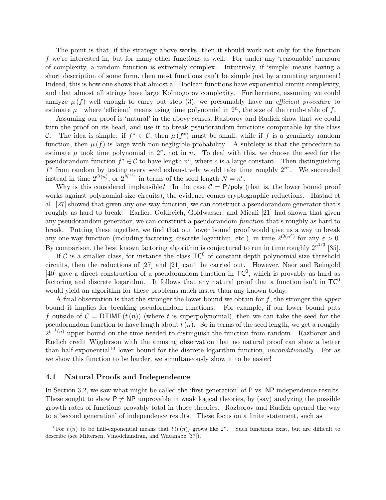The point is that, if the strategy above works, then it should work not only for the function f we're interested in, but for many other functions as well. For under any 'reasonable' measure of complexity, a random function is extremely complex. Intuitively, if 'simple' means having a short description of some form, then most functions can't be simple just by a counting argument! Indeed, this is how one shows that almost all Boolean functions have exponential circuit complexity, and that almost all strings have large Kolmogorov complexity. Furthermore, assuming we could analyze  $\mu(f)$  well enough to carry out step (3), we presumably have an *efficient procedure* to estimate  $\mu$ —where 'efficient' means using time polynomial in  $2^n$ , the size of the truth-table of f.

Assuming our proof is 'natural' in the above senses, Razborov and Rudich show that we could turn the proof on its head, and use it to break pseudorandom functions computable by the class C. The idea is simple: if  $f^* \in \mathcal{C}$ , then  $\mu(f^*)$  must be small, while if f is a genuinely random function, then  $\mu(f)$  is large with non-negligible probability. A subtlety is that the procedure to estimate  $\mu$  took time polynomial in  $2^n$ , not in n. To deal with this, we choose the seed for the pseudorandom function  $f^* \in \mathcal{C}$  to have length  $n^c$ , where c is a large constant. Then distinguishing  $f^*$  from random by testing every seed exhaustively would take time roughly  $2^{n^c}$ . We succeeded instead in time  $2^{O(n)}$ , or  $2^{N^{1/c}}$  in terms of the seed length  $N = n^c$ .

Why is this considered implausible? In the case  $C = P/\text{poly}$  (that is, the lower bound proof works against polynomial-size circuits), the evidence comes cryptographic reductions. Håstad et al. [27] showed that given any one-way function, we can construct a pseudorandom generator that's roughly as hard to break. Earlier, Goldreich, Goldwasser, and Micali [21] had shown that given any pseudorandom generator, we can construct a pseudorandom function that's roughly as hard to break. Putting these together, we find that our lower bound proof would give us a way to break any one-way function (including factoring, discrete logarithm, etc.), in time  $2^{O(n^{\epsilon})}$  for any  $\varepsilon > 0$ . By comparison, the best known factoring algorithm is conjectured to run in time roughly  $2^{n^{1/3}}$  [35].

If C is a smaller class, for instance the class  $TC^0$  of constant-depth polynomial-size threshold circuits, then the reductions of [27] and [21] can't be carried out. However, Naor and Reingold [40] gave a direct construction of a pseudorandom function in  $TC^0$ , which is provably as hard as factoring and discrete logarithm. It follows that any natural proof that a function isn't in  $TC^0$ would yield an algorithm for these problems much faster than any known today.

A final observation is that the stronger the lower bound we obtain for  $f$ , the stronger the upper bound it implies for breaking pseudorandom functions. For example, if our lower bound puts f outside of  $\mathcal{C} = \text{DTIME}(t(n))$  (where t is superpolynomial), then we can take the seed for the pseudorandom function to have length about  $t(n)$ . So in terms of the seed length, we get a roughly  $2^{t^{-1}(n)}$  upper bound on the time needed to distinguish the function from random. Razborov and Rudich credit Wigderson with the amusing observation that no natural proof can show a better than half-exponential<sup>10</sup> lower bound for the discrete logarithm function, *unconditionally*. For as we show this function to be harder, we simultaneously show it to be easier!

#### 4.1 Natural Proofs and Independence

In Section 3.2, we saw what might be called the 'first generation' of P vs. NP independence results. These sought to show  $P \neq NP$  unprovable in weak logical theories, by (say) analyzing the possible growth rates of functions provably total in those theories. Razborov and Rudich opened the way to a 'second generation' of independence results. These focus on a finite statement, such as

<sup>&</sup>lt;sup>10</sup>For  $t(n)$  to be half-exponential means that  $t(t(n))$  grows like  $2^n$ . Such functions exist, but are difficult to describe (see Miltersen, Vinodchandran, and Watanabe [37]).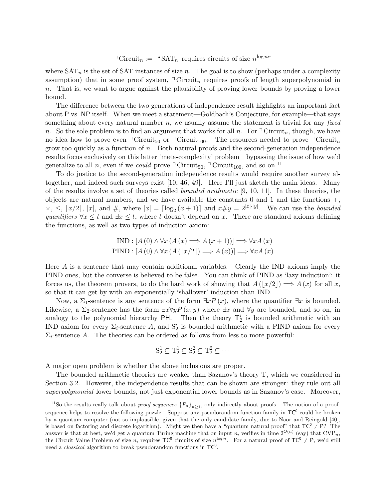<sup> $\exists$ </sup> Circuit<sub>n</sub> := "SAT<sub>n</sub> requires circuits of size  $n^{\log n}$ "

where  $SAT_n$  is the set of SAT instances of size n. The goal is to show (perhaps under a complexity assumption) that in some proof system,  $\overline{\ }$  Circuit<sub>n</sub> requires proofs of length superpolynomial in n. That is, we want to argue against the plausibility of proving lower bounds by proving a lower bound.

The difference between the two generations of independence result highlights an important fact about P vs. NP itself. When we meet a statement—Goldbach's Conjecture, for example—that says something about every natural number n, we usually assume the statement is trivial for any fixed n. So the sole problem is to find an argument that works for all n. For  $\ulcorner$  Circuit<sub>n</sub>, though, we have no idea how to prove even  $\exists$  Circuit<sub>50</sub> or  $\exists$  Circuit<sub>100</sub>. The resources needed to prove  $\exists$  Circuit<sub>n</sub> grow too quickly as a function of n. Both natural proofs and the second-generation independence results focus exclusively on this latter 'meta-complexity' problem—bypassing the issue of how we'd generalize to all n, even if we could prove  $\ulcorner$  Circuit<sub>50</sub>,  $\ulcorner$  Circuit<sub>100</sub>, and so on.<sup>11</sup>

To do justice to the second-generation independence results would require another survey altogether, and indeed such surveys exist [10, 46, 49]. Here I'll just sketch the main ideas. Many of the results involve a set of theories called bounded arithmetic [9, 10, 11]. In these theories, the objects are natural numbers, and we have available the constants  $0$  and  $1$  and the functions  $+$ ,  $\times$ ,  $\leq$ ,  $\lfloor x/2 \rfloor$ ,  $|x|$ , and  $\#$ , where  $|x| = \lceil \log_2(x+1) \rceil$  and  $x \# y = 2^{|x| \cdot |y|}$ . We can use the *bounded* quantifiers  $\forall x \leq t$  and  $\exists x \leq t$ , where t doesn't depend on x. There are standard axioms defining the functions, as well as two types of induction axiom:

$$
IND : [A (0) \land \forall x (A (x) \Longrightarrow A (x + 1))] \Longrightarrow \forall x A (x)
$$
  
 
$$
PIND : [A (0) \land \forall x (A (|x/2|) \Longrightarrow A (x))] \Longrightarrow \forall x A (x)
$$

Here A is a sentence that may contain additional variables. Clearly the IND axioms imply the PIND ones, but the converse is believed to be false. You can think of PIND as 'lazy induction': it forces us, the theorem provers, to do the hard work of showing that  $A(|x/2|) \Longrightarrow A(x)$  for all x, so that it can get by with an exponentially 'shallower' induction than IND.

Now, a  $\Sigma_1$ -sentence is any sentence of the form  $\exists xP(x)$ , where the quantifier  $\exists x$  is bounded. Likewise, a  $\Sigma_2$ -sentence has the form  $\exists x \forall y P(x, y)$  where  $\exists x$  and  $\forall y$  are bounded, and so on, in analogy to the polynomial hierarchy PH. Then the theory  $T_2^i$  is bounded arithmetic with an IND axiom for every  $\Sigma_i$ -sentence A, and  $S_2^i$  is bounded arithmetic with a PIND axiom for every  $\Sigma_i$ -sentence A. The theories can be ordered as follows from less to more powerful:

$$
S_2^1 \subseteq T_2^1 \subseteq S_2^2 \subseteq T_2^2 \subseteq \cdots
$$

A major open problem is whether the above inclusions are proper.

The bounded arithmetic theories are weaker than Sazanov's theory T, which we considered in Section 3.2. However, the independence results that can be shown are stronger: they rule out all superpolynomial lower bounds, not just exponential lower bounds as in Sazanov's case. Moreover,

<sup>&</sup>lt;sup>11</sup>So the results really talk about *proof-sequences*  ${P_n}_{n\geq 1}$ , only indirectly about proofs. The notion of a proofsequence helps to resolve the following puzzle. Suppose any pseudorandom function family in  $TC^0$  could be broken by a quantum computer (not so implausible, given that the only candidate family, due to Naor and Reingold [40], is based on factoring and discrete logarithm). Might we then have a "quantum natural proof" that  $TC^0 \neq P$ ? The answer is that at best, we'd get a quantum Turing machine that on input n, verifies in time  $2^{O(n)}$  (say) that  $CVP_n$ , the Circuit Value Problem of size n, requires  $TC^0$  circuits of size  $n^{\log n}$ . For a natural proof of  $TC^0 \neq P$ , we'd still need a *classical* algorithm to break pseudorandom functions in  $TC^0$ .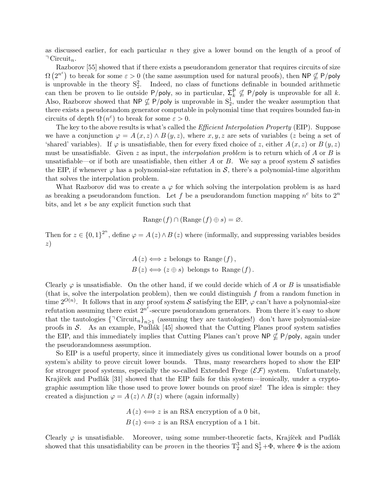as discussed earlier, for each particular  $n$  they give a lower bound on the length of a proof of  $\exists$  Circuit<sub>n</sub>.

Razborov [55] showed that if there exists a pseudorandom generator that requires circuits of size  $\Omega(2^{n^{\varepsilon}})$  to break for some  $\varepsilon > 0$  (the same assumption used for natural proofs), then NP  $\nsubseteq$  P/poly is unprovable in the theory  $S_2^2$ . Indeed, no class of functions definable in bounded arithmetic can then be proven to lie outside  $P/poly$ , so in particular,  $\sum_k^P \not\subseteq P/poly$  is unprovable for all k. Also, Razborov showed that  $\mathsf{NP} \nsubseteq \mathsf{P/poly}$  is unprovable in  $\mathsf{S}_2^1$ , under the weaker assumption that there exists a pseudorandom generator computable in polynomial time that requires bounded fan-in circuits of depth  $\Omega(n^{\varepsilon})$  to break for some  $\varepsilon > 0$ .

The key to the above results is what's called the *Efficient Interpolation Property* (EIP). Suppose we have a conjunction  $\varphi = A(x, z) \wedge B(y, z)$ , where  $x, y, z$  are sets of variables (z being a set of 'shared' variables). If  $\varphi$  is unsatisfiable, then for every fixed choice of z, either  $A(x, z)$  or  $B(y, z)$ must be unsatisfiable. Given z as input, the *interpolation problem* is to return which of A or B is unsatisfiable—or if both are unsatisfiable, then either A or B. We say a proof system S satisfies the EIP, if whenever  $\varphi$  has a polynomial-size refutation in S, there's a polynomial-time algorithm that solves the interpolation problem.

What Razborov did was to create a  $\varphi$  for which solving the interpolation problem is as hard as breaking a pseudorandom function. Let f be a pseudorandom function mapping  $n^c$  bits to  $2^n$ bits, and let s be any explicit function such that

Range 
$$
(f) \cap (\text{Range}(f) \oplus s) = \varnothing
$$
.

Then for  $z \in \{0,1\}^{2^n}$ , define  $\varphi = A(z) \wedge B(z)$  where (informally, and suppressing variables besides z)

$$
A(z) \leftrightarrow z
$$
 belongs to Range  $(f)$ ,  
\n $B(z) \leftrightarrow (z \oplus s)$  belongs to Range  $(f)$ .

Clearly  $\varphi$  is unsatisfiable. On the other hand, if we could decide which of A or B is unsatisfiable (that is, solve the interpolation problem), then we could distinguish f from a random function in time  $2^{O(n)}$ . It follows that in any proof system S satisfying the EIP,  $\varphi$  can't have a polynomial-size refutation assuming there exist  $2^{n^{\varepsilon}}$ -secure pseudorandom generators. From there it's easy to show that the tautologies  $\{\exists \text{ Circuit}_n\}_{n\geq 1}$  (assuming they are tautologies!) don't have polynomial-size proofs in S. As an example, Pudlák  $[45]$  showed that the Cutting Planes proof system satisfies the EIP, and this immediately implies that Cutting Planes can't prove  $\mathsf{NP} \not\subseteq \mathsf{P/poly}$ , again under the pseudorandomness assumption.

So EIP is a useful property, since it immediately gives us conditional lower bounds on a proof system's ability to prove circuit lower bounds. Thus, many researchers hoped to show the EIP for stronger proof systems, especially the so-called Extended Frege  $(\mathcal{EF})$  system. Unfortunately, Krajíček and Pudlák [31] showed that the EIP fails for this system—ironically, under a cryptographic assumption like those used to prove lower bounds on proof size! The idea is simple: they created a disjunction  $\varphi = A(z) \wedge B(z)$  where (again informally)

$$
A(z) \iff z
$$
 is an RSA encryption of a 0 bit,  
 $B(z) \iff z$  is an RSA encryption of a 1 bit.

Clearly  $\varphi$  is unsatisfiable. Moreover, using some number-theoretic facts, Krajíček and Pudlák showed that this unsatisfiability can be *proven* in the theories  $T_2^3$  and  $S_2^1 + \Phi$ , where  $\Phi$  is the axiom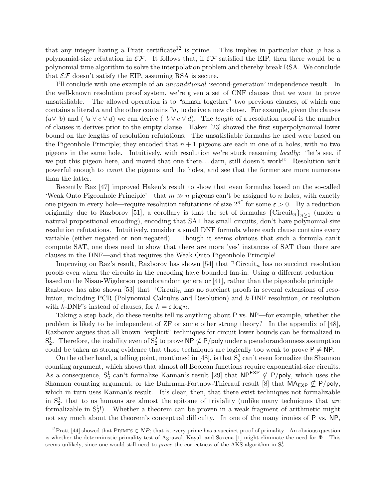that any integer having a Pratt certificate<sup>12</sup> is prime. This implies in particular that  $\varphi$  has a polynomial-size refutation in  $\mathcal{EF}$ . It follows that, if  $\mathcal{EF}$  satisfied the EIP, then there would be a polynomial time algorithm to solve the interpolation problem and thereby break RSA. We conclude that  $\mathcal{EF}$  doesn't satisfy the EIP, assuming RSA is secure.

I'll conclude with one example of an unconditional 'second-generation' independence result. In the well-known resolution proof system, we're given a set of CNF clauses that we want to prove unsatisfiable. The allowed operation is to "smash together" two previous clauses, of which one contains a literal a and the other contains  $a$ , to derive a new clause. For example, given the clauses  $(a\vee^{\dagger}b)$  and  $(\exists a \vee c \vee d)$  we can derive  $(\exists b \vee c \vee d)$ . The length of a resolution proof is the number of clauses it derives prior to the empty clause. Haken [23] showed the first superpolynomial lower bound on the lengths of resolution refutations. The unsatisfiable formulas he used were based on the Pigeonhole Principle; they encoded that  $n + 1$  pigeons are each in one of n holes, with no two pigeons in the same hole. Intuitively, with resolution we're stuck reasoning locally: "let's see, if we put this pigeon here, and moved that one there. . . darn, still doesn't work!" Resolution isn't powerful enough to count the pigeons and the holes, and see that the former are more numerous than the latter.

Recently Raz [47] improved Haken's result to show that even formulas based on the so-called 'Weak Onto Pigeonhole Principle'—that  $m \gg n$  pigeons can't be assigned to n holes, with exactly one pigeon in every hole—require resolution refutations of size  $2^{n^{\varepsilon}}$  for some  $\varepsilon > 0$ . By a reduction originally due to Razborov [51], a corollary is that the set of formulas  ${\{Circuit_n\}}_{n\geq 1}$  (under a natural propositional encoding), encoding that SAT has small circuits, don't have polynomial-size resolution refutations. Intuitively, consider a small DNF formula where each clause contains every variable (either negated or non-negated). Though it seems obvious that such a formula can't compute SAT, one does need to show that there are more 'yes' instances of SAT than there are clauses in the DNF—and that requires the Weak Onto Pigeonhole Principle!

Improving on Raz's result, Razborov has shown [54] that  $\overline{\phantom{a}}$  Circuit<sub>n</sub> has no succinct resolution proofs even when the circuits in the encoding have bounded fan-in. Using a different reduction based on the Nisan-Wigderson pseudorandom generator [41], rather than the pigeonhole principle— Razborov has also shown [53] that  $\neg$  Circuit<sub>n</sub> has no succinct proofs in several extensions of resolution, including PCR (Polynomial Calculus and Resolution) and k-DNF resolution, or resolution with k-DNF's instead of clauses, for  $k = \varepsilon \log n$ .

Taking a step back, do these results tell us anything about P vs. NP—for example, whether the problem is likely to be independent of ZF or some other strong theory? In the appendix of [48], Razborov argues that all known "explicit" techniques for circuit lower bounds can be formalized in  $S_2^1$ . Therefore, the inability even of  $S_2^2$  to prove NP  $\nsubseteq$  P/poly under a pseudorandomness assumption could be taken as strong evidence that those techniques are logically too weak to prove  $P \neq NP$ .

On the other hand, a telling point, mentioned in [48], is that  $S_2^1$  can't even formalize the Shannon counting argument, which shows that almost all Boolean functions require exponential-size circuits. As a consequence,  $S_2^1$  can't formalize Kannan's result [29] that  $NP^{EXP} \nsubseteq P/poly$ , which uses the Shannon counting argument; or the Buhrman-Fortnow-Thierauf result [8] that  $MA_{EXP} \nsubseteq P/poly$ , which in turn uses Kannan's result. It's clear, then, that there exist techniques not formalizable in  $S_2^1$ , that to us humans are almost the epitome of triviality (unlike many techniques that are formalizable in  $S_2^1$ !). Whether a theorem can be proven in a weak fragment of arithmetic might not say much about the theorem's conceptual difficulty. In one of the many ironies of P vs. NP,

<sup>&</sup>lt;sup>12</sup>Pratt [44] showed that PRIMES  $\in NP$ ; that is, every prime has a succinct proof of primality. An obvious question is whether the deterministic primality test of Agrawal, Kayal, and Saxena [1] might eliminate the need for Φ. This seems unlikely, since one would still need to *prove* the correctness of the AKS algorithm in  $S_2^1$ .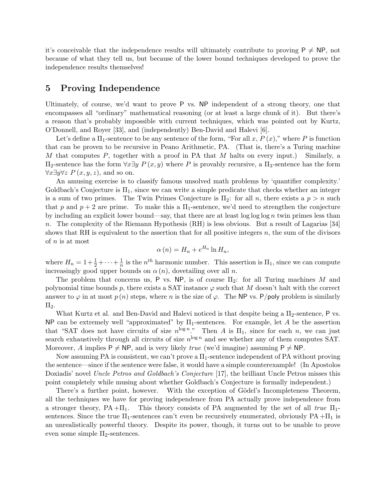it's conceivable that the independence results will ultimately contribute to proving  $P \neq NP$ , not because of what they tell us, but because of the lower bound techniques developed to prove the independence results themselves!

# 5 Proving Independence

Ultimately, of course, we'd want to prove P vs. NP independent of a strong theory, one that encompasses all "ordinary" mathematical reasoning (or at least a large chunk of it). But there's a reason that's probably impossible with current techniques, which was pointed out by Kurtz, O'Donnell, and Royer [33], and (independently) Ben-David and Halevi [6].

Let's define a  $\Pi_1$ -sentence to be any sentence of the form, "For all x,  $P(x)$ ," where P is function that can be proven to be recursive in Peano Arithmetic, PA. (That is, there's a Turing machine M that computes  $P$ , together with a proof in PA that M halts on every input.) Similarly, a  $\Pi_2$ -sentence has the form  $\forall x \exists y \ P(x, y)$  where P is provably recursive, a  $\Pi_3$ -sentence has the form  $\forall x \exists y \forall z P(x, y, z)$ , and so on.

An amusing exercise is to classify famous unsolved math problems by 'quantifier complexity.' Goldbach's Conjecture is  $\Pi_1$ , since we can write a simple predicate that checks whether an integer is a sum of two primes. The Twin Primes Conjecture is  $\Pi_2$ : for all n, there exists a  $p > n$  such that p and  $p + 2$  are prime. To make this a  $\Pi_1$ -sentence, we'd need to strengthen the conjecture by including an explicit lower bound—say, that there are at least  $\log \log \log n$  twin primes less than n. The complexity of the Riemann Hypothesis (RH) is less obvious. But a result of Lagarias [34] shows that RH is equivalent to the assertion that for all positive integers  $n$ , the sum of the divisors of n is at most

$$
\alpha(n) = H_n + e^{H_n} \ln H_n,
$$

where  $H_n = 1 + \frac{1}{2} + \cdots + \frac{1}{n}$  $\frac{1}{n}$  is the  $n^{th}$  harmonic number. This assertion is  $\Pi_1$ , since we can compute increasingly good upper bounds on  $\alpha(n)$ , dovetailing over all n.

The problem that concerns us, P vs. NP, is of course  $\Pi_2$ : for all Turing machines M and polynomial time bounds p, there exists a SAT instance  $\varphi$  such that M doesn't halt with the correct answer to  $\varphi$  in at most  $p(n)$  steps, where n is the size of  $\varphi$ . The NP vs. P/poly problem is similarly  $\Pi_2$ .

What Kurtz et al. and Ben-David and Halevi noticed is that despite being a  $\Pi_2$ -sentence, P vs. NP can be extremely well "approximated" by  $\Pi_1$ -sentences. For example, let A be the assertion that "SAT does not have circuits of size  $n^{\log n}$ ." Then A is  $\Pi_1$ , since for each n, we can just search exhaustively through all circuits of size  $n^{\log n}$  and see whether any of them computes SAT. Moreover, A implies  $P \neq NP$ , and is very likely true (we'd imagine) assuming  $P \neq NP$ .

Now assuming PA is consistent, we can't prove a  $\Pi_1$ -sentence independent of PA without proving the sentence—since if the sentence were false, it would have a simple counterexample! (In Apostolos Doxiadis' novel Uncle Petros and Goldbach's Conjecture [17], the brilliant Uncle Petros misses this point completely while musing about whether Goldbach's Conjecture is formally independent.)

There's a further point, however. With the exception of Gödel's Incompleteness Theorem, all the techniques we have for proving independence from PA actually prove independence from a stronger theory,  $PA + \Pi_1$ . This theory consists of PA augmented by the set of all true  $\Pi_1$ sentences. Since the true  $\Pi_1$ -sentences can't even be recursively enumerated, obviously  $PA + \Pi_1$  is an unrealistically powerful theory. Despite its power, though, it turns out to be unable to prove even some simple  $\Pi_2$ -sentences.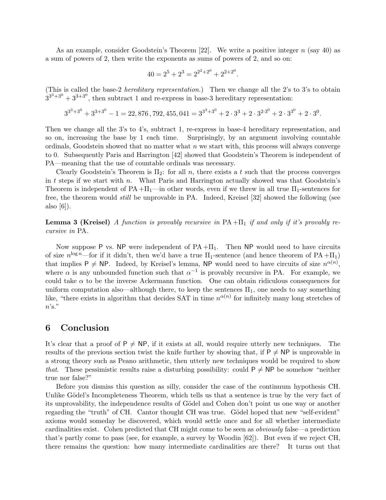As an example, consider Goodstein's Theorem  $[22]$ . We write a positive integer n (say 40) as a sum of powers of 2, then write the exponents as sums of powers of 2, and so on:

$$
40 = 2^5 + 2^3 = 2^{2^2 + 2^0} + 2^{2 + 2^0}.
$$

(This is called the base-2 *hereditary representation.*) Then we change all the 2's to 3's to obtain  $3^{3^3+3^0}+3^{3+3^0}$ , then subtract 1 and re-express in base-3 hereditary representation:

$$
3^{3^3+3^0}+3^{3+3^0}-1=22,876\,,792,455,041=3^{3^3+3^0}+2\cdot 3^3+2\cdot 3^{2\cdot 3^0}+2\cdot 3^{3^0}+2\cdot 3^0.
$$

Then we change all the 3's to 4's, subtract 1, re-express in base-4 hereditary representation, and so on, increasing the base by 1 each time. Surprisingly, by an argument involving countable ordinals, Goodstein showed that no matter what  $n$  we start with, this process will always converge to 0. Subsequently Paris and Harrington [42] showed that Goodstein's Theorem is independent of PA—meaning that the use of countable ordinals was necessary.

Clearly Goodstein's Theorem is  $\Pi_2$ : for all n, there exists a t such that the process converges in  $t$  steps if we start with  $n$ . What Paris and Harrington actually showed was that Goodstein's Theorem is independent of  $PA + \Pi_1$ —in other words, even if we threw in all true  $\Pi_1$ -sentences for free, the theorem would still be unprovable in PA. Indeed, Kreisel [32] showed the following (see also  $|6|$ ).

**Lemma 3 (Kreisel)** A function is provably recursive in  $PA + \Pi_1$  if and only if it's provably recursive in PA.

Now suppose P vs. NP were independent of  $PA + \Pi_1$ . Then NP would need to have circuits of size  $n^{\log n}$ —for if it didn't, then we'd have a true  $\Pi_1$ -sentence (and hence theorem of PA + $\Pi_1$ ) that implies  $P \neq NP$ . Indeed, by Kreisel's lemma, NP would need to have circuits of size  $n^{\alpha(n)}$ , where  $\alpha$  is any unbounded function such that  $\alpha^{-1}$  is provably recursive in PA. For example, we could take  $\alpha$  to be the inverse Ackermann function. One can obtain ridiculous consequences for uniform computation also—although there, to keep the sentences  $\Pi_1$ , one needs to say something like, "there exists in algorithm that decides SAT in time  $n^{\alpha(n)}$  for infinitely many long stretches of  $n$ 's."

### 6 Conclusion

It's clear that a proof of  $P \neq NP$ , if it exists at all, would require utterly new techniques. The results of the previous section twist the knife further by showing that, if  $P \neq NP$  is unprovable in a strong theory such as Peano arithmetic, then utterly new techniques would be required to show that. These pessimistic results raise a disturbing possibility: could  $P \neq NP$  be somehow "neither true nor false?"

Before you dismiss this question as silly, consider the case of the continuum hypothesis CH. Unlike Gödel's Incompleteness Theorem, which tells us that a sentence is true by the very fact of its unprovability, the independence results of Gödel and Cohen don't point us one way or another regarding the "truth" of CH. Cantor thought CH was true. Gödel hoped that new "self-evident" axioms would someday be discovered, which would settle once and for all whether intermediate cardinalities exist. Cohen predicted that CH might come to be seen as obviously false—a prediction that's partly come to pass (see, for example, a survey by Woodin [62]). But even if we reject CH, there remains the question: how many intermediate cardinalities are there? It turns out that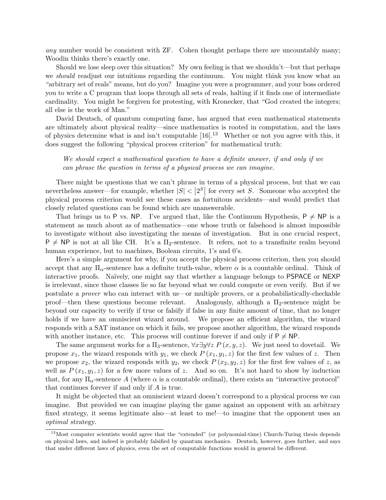any number would be consistent with ZF. Cohen thought perhaps there are uncountably many; Woodin thinks there's exactly one.

Should we lose sleep over this situation? My own feeling is that we shouldn't—but that perhaps we *should* readjust our intuitions regarding the continuum. You might think you know what an "arbitrary set of reals" means, but do you? Imagine you were a programmer, and your boss ordered you to write a C program that loops through all sets of reals, halting if it finds one of intermediate cardinality. You might be forgiven for protesting, with Kronecker, that "God created the integers; all else is the work of Man."

David Deutsch, of quantum computing fame, has argued that even mathematical statements are ultimately about physical reality—since mathematics is rooted in computation, and the laws of physics determine what is and isn't computable  $[16]$ <sup>13</sup> Whether or not you agree with this, it does suggest the following "physical process criterion" for mathematical truth:

We should expect a mathematical question to have a definite answer, if and only if we can phrase the question in terms of a physical process we can imagine.

There might be questions that we can't phrase in terms of a physical process, but that we can nevertheless answer—for example, whether  $|S| < 2^S$  for every set S. Someone who accepted the physical process criterion would see these cases as fortuitous accidents—and would predict that closely related questions can be found which are unanswerable.

That brings us to P vs. NP. I've argued that, like the Continuum Hypothesis,  $P \neq NP$  is a statement as much about as of mathematics—one whose truth or falsehood is almost impossible to investigate without also investigating the means of investigation. But in one crucial respect,  $P \neq NP$  is not at all like CH. It's a  $\Pi_2$ -sentence. It refers, not to a transfinite realm beyond human experience, but to machines, Boolean circuits, 1's and 0's.

Here's a simple argument for why, if you accept the physical process criterion, then you should accept that any  $\Pi_{\alpha}$ -sentence has a definite truth-value, where  $\alpha$  is a countable ordinal. Think of interactive proofs. Naïvely, one might say that whether a language belongs to PSPACE or NEXP is irrelevant, since those classes lie so far beyond what we could compute or even verify. But if we postulate a prover who can interact with us—or multiple provers, or a probabilistically-checkable proof—then these questions become relevant. Analogously, although a  $\Pi_2$ -sentence might be beyond our capacity to verify if true or falsify if false in any finite amount of time, that no longer holds if we have an omniscient wizard around. We propose an efficient algorithm, the wizard responds with a SAT instance on which it fails, we propose another algorithm, the wizard responds with another instance, etc. This process will continue forever if and only if  $P \neq NP$ .

The same argument works for a  $\Pi_3$ -sentence,  $\forall x \exists y \forall z \ P(x, y, z)$ . We just need to dovetail. We propose  $x_1$ , the wizard responds with  $y_1$ , we check  $P(x_1, y_1, z)$  for the first few values of z. Then we propose  $x_2$ , the wizard responds with  $y_2$ , we check  $P(x_2, y_2, z)$  for the first few values of z, as well as  $P(x_1, y_1, z)$  for a few more values of z. And so on. It's not hard to show by induction that, for any  $\Pi_{\alpha}$ -sentence A (where  $\alpha$  is a countable ordinal), there exists an "interactive protocol" that continues forever if and only if A is true.

It might be objected that an omniscient wizard doesn't correspond to a physical process we can imagine. But provided we can imagine playing the game against an opponent with an arbitrary fixed strategy, it seems legitimate also—at least to me!—to imagine that the opponent uses an optimal strategy.

<sup>&</sup>lt;sup>13</sup>Most computer scientists would agree that the "extended" (or polynomial-time) Church-Turing thesis depends on physical laws, and indeed is probably falsified by quantum mechanics. Deutsch, however, goes further, and says that under different laws of physics, even the set of computable functions would in general be different.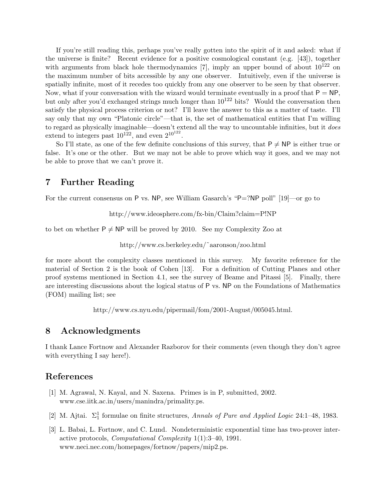If you're still reading this, perhaps you've really gotten into the spirit of it and asked: what if the universe is finite? Recent evidence for a positive cosmological constant (e.g. [43]), together with arguments from black hole thermodynamics [7], imply an upper bound of about  $10^{122}$  on the maximum number of bits accessible by any one observer. Intuitively, even if the universe is spatially infinite, most of it recedes too quickly from any one observer to be seen by that observer. Now, what if your conversation with the wizard would terminate eventually in a proof that  $P = NP$ . but only after you'd exchanged strings much longer than  $10^{122}$  bits? Would the conversation then satisfy the physical process criterion or not? I'll leave the answer to this as a matter of taste. I'll say only that my own "Platonic circle"—that is, the set of mathematical entities that I'm willing to regard as physically imaginable—doesn't extend all the way to uncountable infinities, but it does extend to integers past  $10^{122}$ , and even  $2^{10^{122}}$ .

So I'll state, as one of the few definite conclusions of this survey, that  $P \neq NP$  is either true or false. It's one or the other. But we may not be able to prove which way it goes, and we may not be able to prove that we can't prove it.

# 7 Further Reading

For the current consensus on P vs. NP, see William Gasarch's "P=?NP poll" [19]—or go to

http://www.ideosphere.com/fx-bin/Claim?claim=P!NP

to bet on whether  $P \neq NP$  will be proved by 2010. See my Complexity Zoo at

http://www.cs.berkeley.edu/˜aaronson/zoo.html

for more about the complexity classes mentioned in this survey. My favorite reference for the material of Section 2 is the book of Cohen [13]. For a definition of Cutting Planes and other proof systems mentioned in Section 4.1, see the survey of Beame and Pitassi [5]. Finally, there are interesting discussions about the logical status of P vs. NP on the Foundations of Mathematics (FOM) mailing list; see

http://www.cs.nyu.edu/pipermail/fom/2001-August/005045.html.

# 8 Acknowledgments

I thank Lance Fortnow and Alexander Razborov for their comments (even though they don't agree with everything I say here!).

# References

- [1] M. Agrawal, N. Kayal, and N. Saxena. Primes is in P, submitted, 2002. www.cse.iitk.ac.in/users/manindra/primality.ps.
- [2] M. Ajtai.  $\Sigma_1^1$  formulae on finite structures, Annals of Pure and Applied Logic 24:1–48, 1983.
- [3] L. Babai, L. Fortnow, and C. Lund. Nondeterministic exponential time has two-prover interactive protocols, Computational Complexity 1(1):3–40, 1991. www.neci.nec.com/homepages/fortnow/papers/mip2.ps.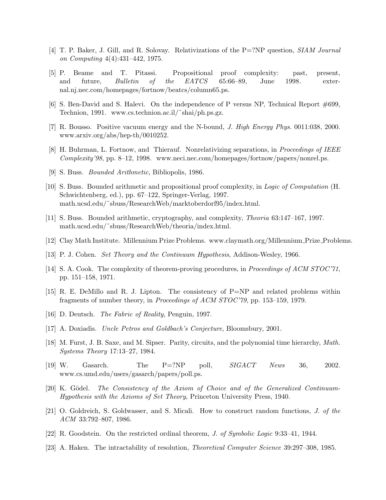- [4] T. P. Baker, J. Gill, and R. Solovay. Relativizations of the P=?NP question, SIAM Journal on Computing 4(4):431–442, 1975.
- [5] P. Beame and T. Pitassi. Propositional proof complexity: past, present, and future, *Bulletin of the EATCS* 65:66–89, June 1998. external.nj.nec.com/homepages/fortnow/beatcs/column65.ps.
- [6] S. Ben-David and S. Halevi. On the independence of P versus NP, Technical Report #699, Technion, 1991. www.cs.technion.ac.il/˜shai/ph.ps.gz.
- [7] R. Bousso. Positive vacuum energy and the N-bound, J. High Energy Phys. 0011:038, 2000. www.arxiv.org/abs/hep-th/0010252.
- [8] H. Buhrman, L. Fortnow, and Thierauf. Nonrelativizing separations, in Proceedings of IEEE Complexity'98, pp. 8–12, 1998. www.neci.nec.com/homepages/fortnow/papers/nonrel.ps.
- [9] S. Buss. Bounded Arithmetic, Bibliopolis, 1986.
- [10] S. Buss. Bounded arithmetic and propositional proof complexity, in Logic of Computation (H. Schwichtenberg, ed.), pp. 67–122, Springer-Verlag, 1997. math.ucsd.edu/˜sbuss/ResearchWeb/marktoberdorf95/index.html.
- [11] S. Buss. Bounded arithmetic, cryptography, and complexity, Theoria 63:147–167, 1997. math.ucsd.edu/˜sbuss/ResearchWeb/theoria/index.html.
- [12] Clay Math Institute. Millennium Prize Problems. www.claymath.org/Millennium Prize Problems.
- [13] P. J. Cohen. Set Theory and the Continuum Hypothesis, Addison-Wesley, 1966.
- [14] S. A. Cook. The complexity of theorem-proving procedures, in *Proceedings of ACM STOC*'71, pp. 151–158, 1971.
- [15] R. E. DeMillo and R. J. Lipton. The consistency of P=NP and related problems within fragments of number theory, in Proceedings of ACM STOC'79, pp. 153–159, 1979.
- [16] D. Deutsch. The Fabric of Reality, Penguin, 1997.
- [17] A. Doxiadis. Uncle Petros and Goldbach's Conjecture, Bloomsbury, 2001.
- [18] M. Furst, J. B. Saxe, and M. Sipser. Parity, circuits, and the polynomial time hierarchy, Math. Systems Theory 17:13–27, 1984.
- [19] W. Gasarch. The  $P=?NP$  poll,  $SIGACT$  News 36, 2002. www.cs.umd.edu/users/gasarch/papers/poll.ps.
- [20] K. Gödel. The Consistency of the Axiom of Choice and of the Generalized Continuum-Hypothesis with the Axioms of Set Theory, Princeton University Press, 1940.
- [21] O. Goldreich, S. Goldwasser, and S. Micali. How to construct random functions, J. of the ACM 33:792–807, 1986.
- [22] R. Goodstein. On the restricted ordinal theorem, J. of Symbolic Logic 9:33–41, 1944.
- [23] A. Haken. The intractability of resolution, Theoretical Computer Science 39:297–308, 1985.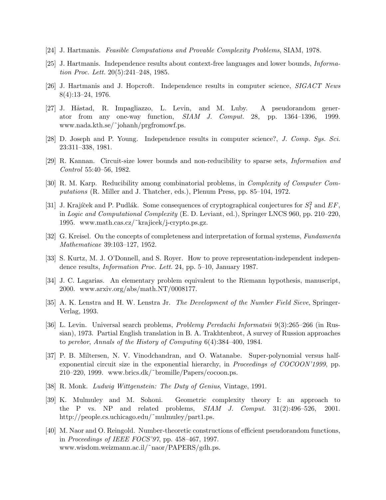- [24] J. Hartmanis. Feasible Computations and Provable Complexity Problems, SIAM, 1978.
- [25] J. Hartmanis. Independence results about context-free languages and lower bounds, Information Proc. Lett. 20(5):241–248, 1985.
- [26] J. Hartmanis and J. Hopcroft. Independence results in computer science, SIGACT News 8(4):13–24, 1976.
- [27] J. Håstad, R. Impagliazzo, L. Levin, and M. Luby. A pseudorandom generator from any one-way function, SIAM J. Comput. 28, pp. 1364–1396, 1999. www.nada.kth.se/˜johanh/prgfromowf.ps.
- [28] D. Joseph and P. Young. Independence results in computer science?, J. Comp. Sys. Sci. 23:311–338, 1981.
- [29] R. Kannan. Circuit-size lower bounds and non-reducibility to sparse sets, Information and Control 55:40–56, 1982.
- [30] R. M. Karp. Reducibility among combinatorial problems, in Complexity of Computer Computations (R. Miller and J. Thatcher, eds.), Plenum Press, pp. 85–104, 1972.
- [31] J. Krajíček and P. Pudlák. Some consequences of cryptographical conjectures for  $S_1^2$  and  $EF$ , in Logic and Computational Complexity (E. D. Leviant, ed.), Springer LNCS 960, pp. 210–220, 1995. www.math.cas.cz/˜krajicek/j-crypto.ps.gz.
- [32] G. Kreisel. On the concepts of completeness and interpretation of formal systems, Fundamenta Mathematicae 39:103–127, 1952.
- [33] S. Kurtz, M. J. O'Donnell, and S. Royer. How to prove representation-independent independence results, Information Proc. Lett. 24, pp. 5–10, January 1987.
- [34] J. C. Lagarias. An elementary problem equivalent to the Riemann hypothesis, manuscript, 2000. www.arxiv.org/abs/math.NT/0008177.
- [35] A. K. Lenstra and H. W. Lenstra Jr. The Development of the Number Field Sieve, Springer-Verlag, 1993.
- [36] L. Levin. Universal search problems, Problemy Peredachi Informatsii 9(3):265–266 (in Russian), 1973. Partial English translation in B. A. Trakhtenbrot, A survey of Russion approaches to perebor, Annals of the History of Computing 6(4):384–400, 1984.
- [37] P. B. Miltersen, N. V. Vinodchandran, and O. Watanabe. Super-polynomial versus halfexponential circuit size in the exponential hierarchy, in *Proceedings of COCOON'1999*, pp. 210–220, 1999. www.brics.dk/˜bromille/Papers/cocoon.ps.
- [38] R. Monk. Ludwig Wittgenstein: The Duty of Genius, Vintage, 1991.
- [39] K. Mulmuley and M. Sohoni. Geometric complexity theory I: an approach to the P vs. NP and related problems,  $SIAM$  J. Comput.  $31(2):496-526$ , 2001. http://people.cs.uchicago.edu/~mulmuley/part1.ps.
- [40] M. Naor and O. Reingold. Number-theoretic constructions of efficient pseudorandom functions, in Proceedings of IEEE FOCS'97, pp. 458–467, 1997. www.wisdom.weizmann.ac.il/˜naor/PAPERS/gdh.ps.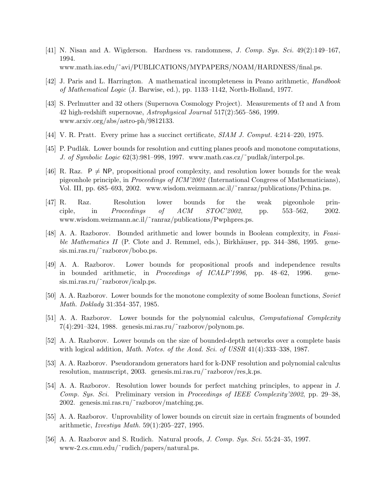- [41] N. Nisan and A. Wigderson. Hardness vs. randomness, J. Comp. Sys. Sci. 49(2):149–167, 1994. www.math.ias.edu/˜avi/PUBLICATIONS/MYPAPERS/NOAM/HARDNESS/final.ps.
- [42] J. Paris and L. Harrington. A mathematical incompleteness in Peano arithmetic, Handbook of Mathematical Logic (J. Barwise, ed.), pp. 1133–1142, North-Holland, 1977.
- [43] S. Perlmutter and 32 others (Supernova Cosmology Project). Measurements of  $\Omega$  and  $\Lambda$  from 42 high-redshift supernovae, Astrophysical Journal 517(2):565–586, 1999. www.arxiv.org/abs/astro-ph/9812133.
- [44] V. R. Pratt. Every prime has a succinct certificate, SIAM J. Comput. 4:214–220, 1975.
- [45] P. Pudlák. Lower bounds for resolution and cutting planes proofs and monotone computations, J. of Symbolic Logic 62(3):981–998, 1997. www.math.cas.cz/~pudlak/interpol.ps.
- [46] R. Raz.  $P \neq NP$ , propositional proof complexity, and resolution lower bounds for the weak pigeonhole principle, in Proceedings of ICM'2002 (International Congress of Mathematicians), Vol. III, pp. 685–693, 2002. www.wisdom.weizmann.ac.il/˜ranraz/publications/Pchina.ps.
- [47] R. Raz. Resolution lower bounds for the weak pigeonhole principle, in Proceedings of ACM STOC'2002, pp. 553–562, 2002. www.wisdom.weizmann.ac.il/˜ranraz/publications/Pwphpres.ps.
- [48] A. A. Razborov. Bounded arithmetic and lower bounds in Boolean complexity, in Feasible Mathematics II (P. Clote and J. Remmel, eds.), Birkhäuser, pp.  $344-386$ , 1995. genesis.mi.ras.ru/~razborov/bobo.ps.
- [49] A. A. Razborov. Lower bounds for propositional proofs and independence results in bounded arithmetic, in Proceedings of ICALP'1996, pp. 48–62, 1996. genesis.mi.ras.ru/~razborov/icalp.ps.
- [50] A. A. Razborov. Lower bounds for the monotone complexity of some Boolean functions, Soviet Math. Doklady 31:354–357, 1985.
- [51] A. A. Razborov. Lower bounds for the polynomial calculus, Computational Complexity  $7(4):291-324$ , 1988. genesis.mi.ras.ru/~razborov/polynom.ps.
- [52] A. A. Razborov. Lower bounds on the size of bounded-depth networks over a complete basis with logical addition, *Math. Notes. of the Acad. Sci. of USSR* 41(4):333–338, 1987.
- [53] A. A. Razborov. Pseudorandom generators hard for k-DNF resolution and polynomial calculus resolution, manuscript, 2003. genesis.mi.ras.ru/˜razborov/res k.ps.
- [54] A. A. Razborov. Resolution lower bounds for perfect matching principles, to appear in J. Comp. Sys. Sci. Preliminary version in Proceedings of IEEE Complexity'2002, pp. 29–38, 2002. genesis.mi.ras.ru/˜razborov/matching.ps.
- [55] A. A. Razborov. Unprovability of lower bounds on circuit size in certain fragments of bounded arithmetic, Izvestiya Math. 59(1):205–227, 1995.
- [56] A. A. Razborov and S. Rudich. Natural proofs, J. Comp. Sys. Sci. 55:24–35, 1997. www-2.cs.cmu.edu/˜rudich/papers/natural.ps.